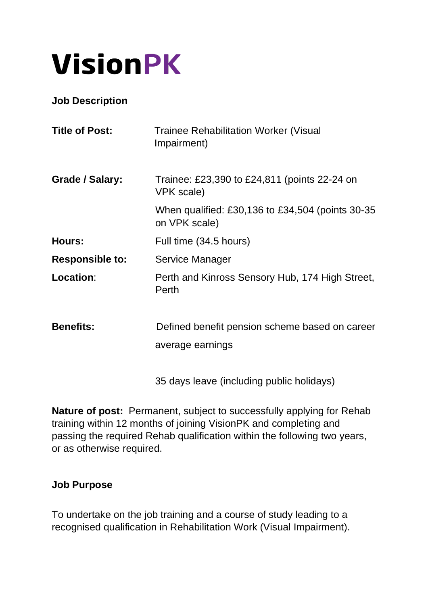# **VisionPK**

**Job Description**

| <b>Title of Post:</b>  | <b>Trainee Rehabilitation Worker (Visual</b><br>Impairment)        |
|------------------------|--------------------------------------------------------------------|
| Grade / Salary:        | Trainee: £23,390 to £24,811 (points 22-24 on<br>VPK scale)         |
|                        | When qualified: £30,136 to £34,504 (points 30-35<br>on VPK scale)  |
| Hours:                 | Full time (34.5 hours)                                             |
| <b>Responsible to:</b> | Service Manager                                                    |
| Location:              | Perth and Kinross Sensory Hub, 174 High Street,<br>Perth           |
| <b>Benefits:</b>       | Defined benefit pension scheme based on career<br>average earnings |

35 days leave (including public holidays)

**Nature of post:** Permanent, subject to successfully applying for Rehab training within 12 months of joining VisionPK and completing and passing the required Rehab qualification within the following two years, or as otherwise required.

#### **Job Purpose**

To undertake on the job training and a course of study leading to a recognised qualification in Rehabilitation Work (Visual Impairment).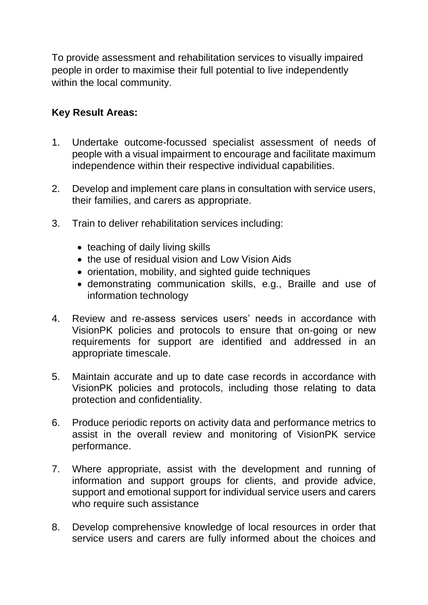To provide assessment and rehabilitation services to visually impaired people in order to maximise their full potential to live independently within the local community.

### **Key Result Areas:**

- 1. Undertake outcome-focussed specialist assessment of needs of people with a visual impairment to encourage and facilitate maximum independence within their respective individual capabilities.
- 2. Develop and implement care plans in consultation with service users, their families, and carers as appropriate.
- 3. Train to deliver rehabilitation services including:
	- teaching of daily living skills
	- the use of residual vision and Low Vision Aids
	- orientation, mobility, and sighted guide techniques
	- demonstrating communication skills, e.g., Braille and use of information technology
- 4. Review and re-assess services users' needs in accordance with VisionPK policies and protocols to ensure that on-going or new requirements for support are identified and addressed in an appropriate timescale.
- 5. Maintain accurate and up to date case records in accordance with VisionPK policies and protocols, including those relating to data protection and confidentiality.
- 6. Produce periodic reports on activity data and performance metrics to assist in the overall review and monitoring of VisionPK service performance.
- 7. Where appropriate, assist with the development and running of information and support groups for clients, and provide advice, support and emotional support for individual service users and carers who require such assistance
- 8. Develop comprehensive knowledge of local resources in order that service users and carers are fully informed about the choices and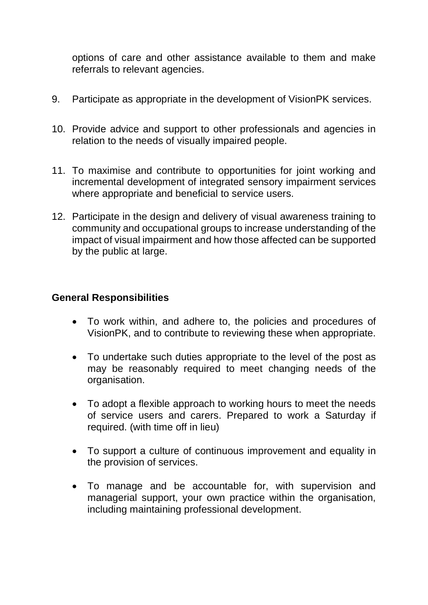options of care and other assistance available to them and make referrals to relevant agencies.

- 9. Participate as appropriate in the development of VisionPK services.
- 10. Provide advice and support to other professionals and agencies in relation to the needs of visually impaired people.
- 11. To maximise and contribute to opportunities for joint working and incremental development of integrated sensory impairment services where appropriate and beneficial to service users.
- 12. Participate in the design and delivery of visual awareness training to community and occupational groups to increase understanding of the impact of visual impairment and how those affected can be supported by the public at large.

#### **General Responsibilities**

- To work within, and adhere to, the policies and procedures of VisionPK, and to contribute to reviewing these when appropriate.
- To undertake such duties appropriate to the level of the post as may be reasonably required to meet changing needs of the organisation.
- To adopt a flexible approach to working hours to meet the needs of service users and carers. Prepared to work a Saturday if required. (with time off in lieu)
- To support a culture of continuous improvement and equality in the provision of services.
- To manage and be accountable for, with supervision and managerial support, your own practice within the organisation, including maintaining professional development.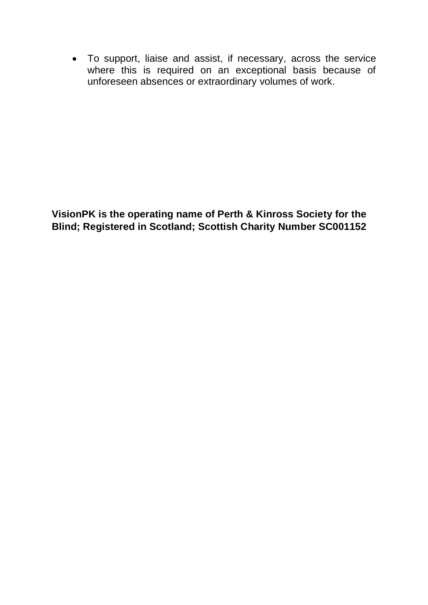• To support, liaise and assist, if necessary, across the service where this is required on an exceptional basis because of unforeseen absences or extraordinary volumes of work.

**VisionPK is the operating name of Perth & Kinross Society for the Blind; Registered in Scotland; Scottish Charity Number SC001152**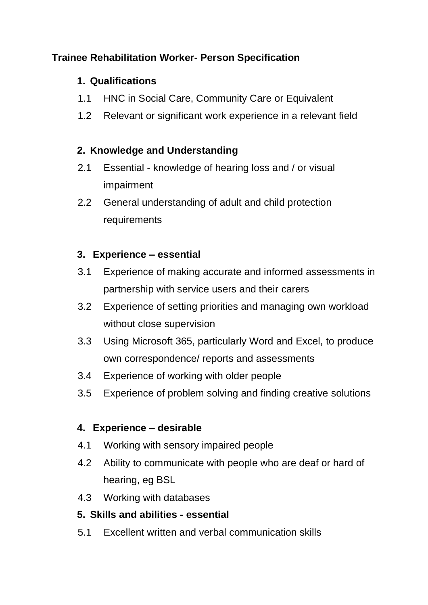## **Trainee Rehabilitation Worker- Person Specification**

### **1. Qualifications**

- 1.1 HNC in Social Care, Community Care or Equivalent
- 1.2 Relevant or significant work experience in a relevant field

## **2. Knowledge and Understanding**

- 2.1 Essential knowledge of hearing loss and / or visual impairment
- 2.2 General understanding of adult and child protection requirements

## **3. Experience – essential**

- 3.1 Experience of making accurate and informed assessments in partnership with service users and their carers
- 3.2 Experience of setting priorities and managing own workload without close supervision
- 3.3 Using Microsoft 365, particularly Word and Excel, to produce own correspondence/ reports and assessments
- 3.4 Experience of working with older people
- 3.5 Experience of problem solving and finding creative solutions

# **4. Experience – desirable**

- 4.1 Working with sensory impaired people
- 4.2 Ability to communicate with people who are deaf or hard of hearing, eg BSL
- 4.3 Working with databases

# **5. Skills and abilities - essential**

5.1 Excellent written and verbal communication skills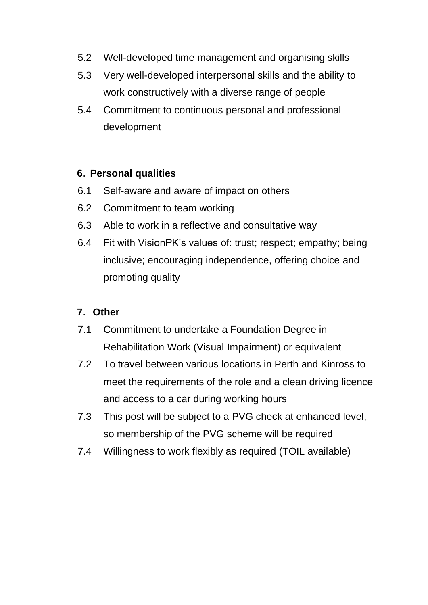- 5.2 Well-developed time management and organising skills
- 5.3 Very well-developed interpersonal skills and the ability to work constructively with a diverse range of people
- 5.4 Commitment to continuous personal and professional development

### **6. Personal qualities**

- 6.1 Self-aware and aware of impact on others
- 6.2 Commitment to team working
- 6.3 Able to work in a reflective and consultative way
- 6.4 Fit with VisionPK's values of: trust; respect; empathy; being inclusive; encouraging independence, offering choice and promoting quality

## **7. Other**

- 7.1 Commitment to undertake a Foundation Degree in Rehabilitation Work (Visual Impairment) or equivalent
- 7.2 To travel between various locations in Perth and Kinross to meet the requirements of the role and a clean driving licence and access to a car during working hours
- 7.3 This post will be subject to a PVG check at enhanced level, so membership of the PVG scheme will be required
- 7.4 Willingness to work flexibly as required (TOIL available)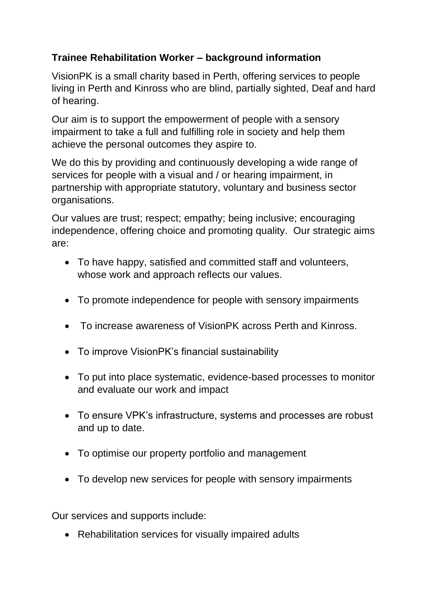## **Trainee Rehabilitation Worker – background information**

VisionPK is a small charity based in Perth, offering services to people living in Perth and Kinross who are blind, partially sighted, Deaf and hard of hearing.

Our aim is to support the empowerment of people with a sensory impairment to take a full and fulfilling role in society and help them achieve the personal outcomes they aspire to.

We do this by providing and continuously developing a wide range of services for people with a visual and / or hearing impairment, in partnership with appropriate statutory, voluntary and business sector organisations.

Our values are trust; respect; empathy; being inclusive; encouraging independence, offering choice and promoting quality. Our strategic aims are:

- To have happy, satisfied and committed staff and volunteers, whose work and approach reflects our values.
- To promote independence for people with sensory impairments
- To increase awareness of VisionPK across Perth and Kinross.
- To improve VisionPK's financial sustainability
- To put into place systematic, evidence-based processes to monitor and evaluate our work and impact
- To ensure VPK's infrastructure, systems and processes are robust and up to date.
- To optimise our property portfolio and management
- To develop new services for people with sensory impairments

Our services and supports include:

• Rehabilitation services for visually impaired adults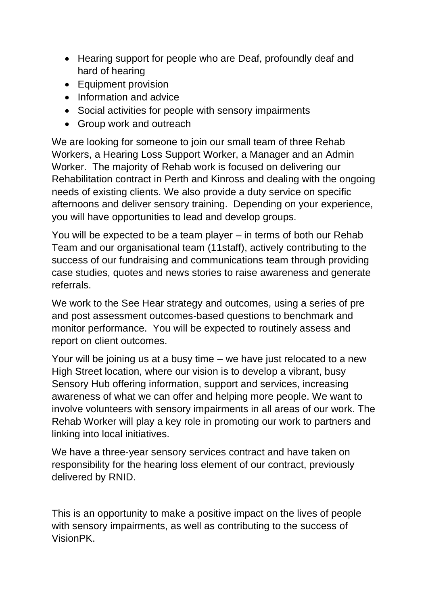- Hearing support for people who are Deaf, profoundly deaf and hard of hearing
- Equipment provision
- Information and advice
- Social activities for people with sensory impairments
- Group work and outreach

We are looking for someone to join our small team of three Rehab Workers, a Hearing Loss Support Worker, a Manager and an Admin Worker. The majority of Rehab work is focused on delivering our Rehabilitation contract in Perth and Kinross and dealing with the ongoing needs of existing clients. We also provide a duty service on specific afternoons and deliver sensory training. Depending on your experience, you will have opportunities to lead and develop groups.

You will be expected to be a team player – in terms of both our Rehab Team and our organisational team (11staff), actively contributing to the success of our fundraising and communications team through providing case studies, quotes and news stories to raise awareness and generate referrals.

We work to the See Hear strategy and outcomes, using a series of pre and post assessment outcomes-based questions to benchmark and monitor performance. You will be expected to routinely assess and report on client outcomes.

Your will be joining us at a busy time – we have just relocated to a new High Street location, where our vision is to develop a vibrant, busy Sensory Hub offering information, support and services, increasing awareness of what we can offer and helping more people. We want to involve volunteers with sensory impairments in all areas of our work. The Rehab Worker will play a key role in promoting our work to partners and linking into local initiatives.

We have a three-year sensory services contract and have taken on responsibility for the hearing loss element of our contract, previously delivered by RNID.

This is an opportunity to make a positive impact on the lives of people with sensory impairments, as well as contributing to the success of VisionPK.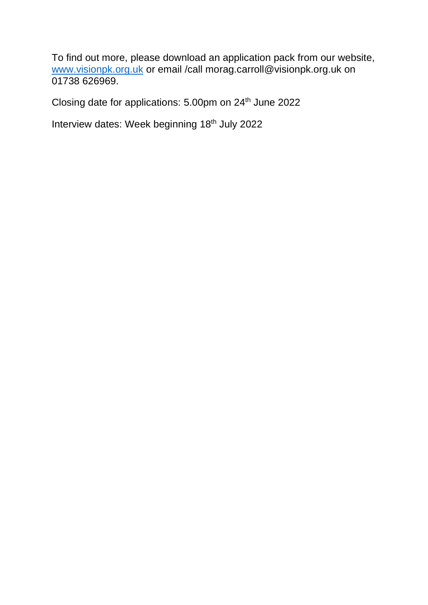To find out more, please download an application pack from our website, [www.visionpk.org.uk](http://www.visionpk.org.uk/) or email /call morag.carroll@visionpk.org.uk on 01738 626969.

Closing date for applications: 5.00pm on 24<sup>th</sup> June 2022

Interview dates: Week beginning 18<sup>th</sup> July 2022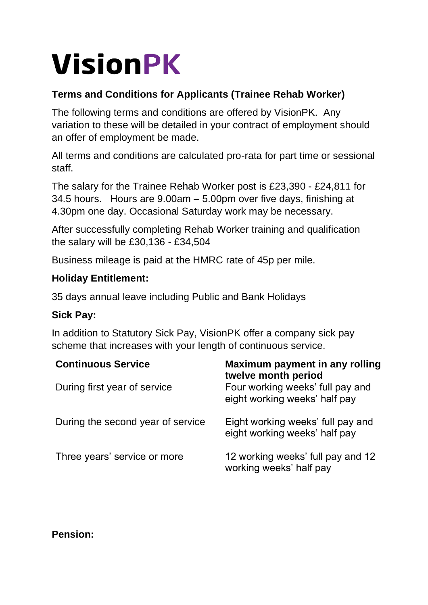# **VisionPK**

## **Terms and Conditions for Applicants (Trainee Rehab Worker)**

The following terms and conditions are offered by VisionPK. Any variation to these will be detailed in your contract of employment should an offer of employment be made.

All terms and conditions are calculated pro-rata for part time or sessional staff.

The salary for the Trainee Rehab Worker post is £23,390 - £24,811 for 34.5 hours. Hours are 9.00am – 5.00pm over five days, finishing at 4.30pm one day. Occasional Saturday work may be necessary.

After successfully completing Rehab Worker training and qualification the salary will be £30,136 - £34,504

Business mileage is paid at the HMRC rate of 45p per mile.

#### **Holiday Entitlement:**

35 days annual leave including Public and Bank Holidays

#### **Sick Pay:**

In addition to Statutory Sick Pay, VisionPK offer a company sick pay scheme that increases with your length of continuous service.

| <b>Continuous Service</b>         | Maximum payment in any rolling<br>twelve month period              |
|-----------------------------------|--------------------------------------------------------------------|
| During first year of service      | Four working weeks' full pay and<br>eight working weeks' half pay  |
| During the second year of service | Eight working weeks' full pay and<br>eight working weeks' half pay |
| Three years' service or more      | 12 working weeks' full pay and 12<br>working weeks' half pay       |

#### **Pension:**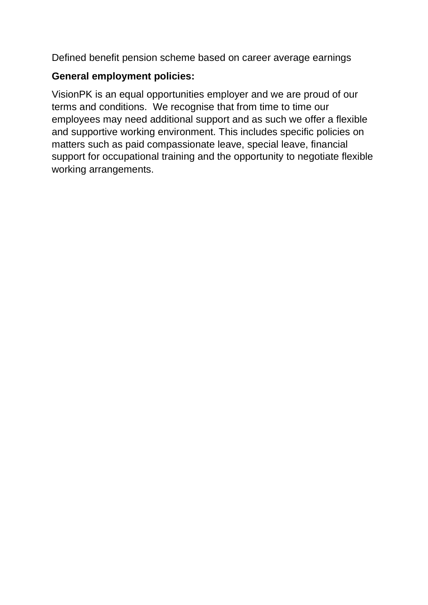Defined benefit pension scheme based on career average earnings

## **General employment policies:**

VisionPK is an equal opportunities employer and we are proud of our terms and conditions. We recognise that from time to time our employees may need additional support and as such we offer a flexible and supportive working environment. This includes specific policies on matters such as paid compassionate leave, special leave, financial support for occupational training and the opportunity to negotiate flexible working arrangements.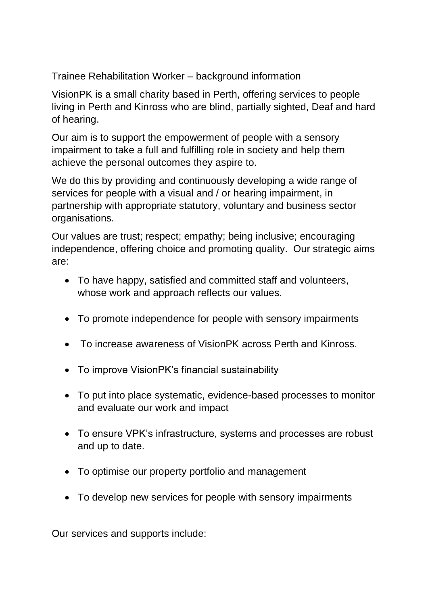Trainee Rehabilitation Worker – background information

VisionPK is a small charity based in Perth, offering services to people living in Perth and Kinross who are blind, partially sighted, Deaf and hard of hearing.

Our aim is to support the empowerment of people with a sensory impairment to take a full and fulfilling role in society and help them achieve the personal outcomes they aspire to.

We do this by providing and continuously developing a wide range of services for people with a visual and / or hearing impairment, in partnership with appropriate statutory, voluntary and business sector organisations.

Our values are trust; respect; empathy; being inclusive; encouraging independence, offering choice and promoting quality. Our strategic aims are:

- To have happy, satisfied and committed staff and volunteers, whose work and approach reflects our values.
- To promote independence for people with sensory impairments
- To increase awareness of VisionPK across Perth and Kinross.
- To improve VisionPK's financial sustainability
- To put into place systematic, evidence-based processes to monitor and evaluate our work and impact
- To ensure VPK's infrastructure, systems and processes are robust and up to date.
- To optimise our property portfolio and management
- To develop new services for people with sensory impairments

Our services and supports include: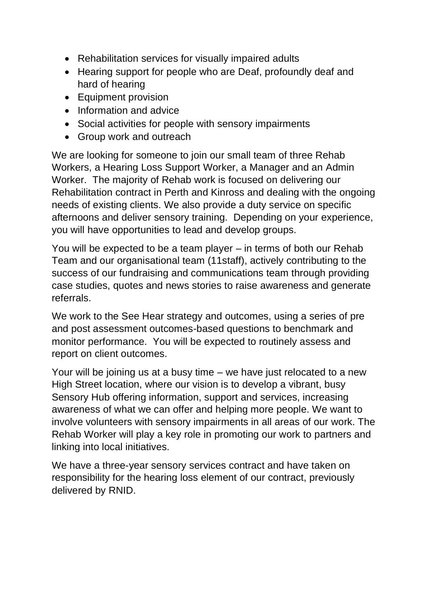- Rehabilitation services for visually impaired adults
- Hearing support for people who are Deaf, profoundly deaf and hard of hearing
- Equipment provision
- Information and advice
- Social activities for people with sensory impairments
- Group work and outreach

We are looking for someone to join our small team of three Rehab Workers, a Hearing Loss Support Worker, a Manager and an Admin Worker. The majority of Rehab work is focused on delivering our Rehabilitation contract in Perth and Kinross and dealing with the ongoing needs of existing clients. We also provide a duty service on specific afternoons and deliver sensory training. Depending on your experience, you will have opportunities to lead and develop groups.

You will be expected to be a team player – in terms of both our Rehab Team and our organisational team (11staff), actively contributing to the success of our fundraising and communications team through providing case studies, quotes and news stories to raise awareness and generate referrals.

We work to the See Hear strategy and outcomes, using a series of pre and post assessment outcomes-based questions to benchmark and monitor performance. You will be expected to routinely assess and report on client outcomes.

Your will be joining us at a busy time – we have just relocated to a new High Street location, where our vision is to develop a vibrant, busy Sensory Hub offering information, support and services, increasing awareness of what we can offer and helping more people. We want to involve volunteers with sensory impairments in all areas of our work. The Rehab Worker will play a key role in promoting our work to partners and linking into local initiatives.

We have a three-year sensory services contract and have taken on responsibility for the hearing loss element of our contract, previously delivered by RNID.